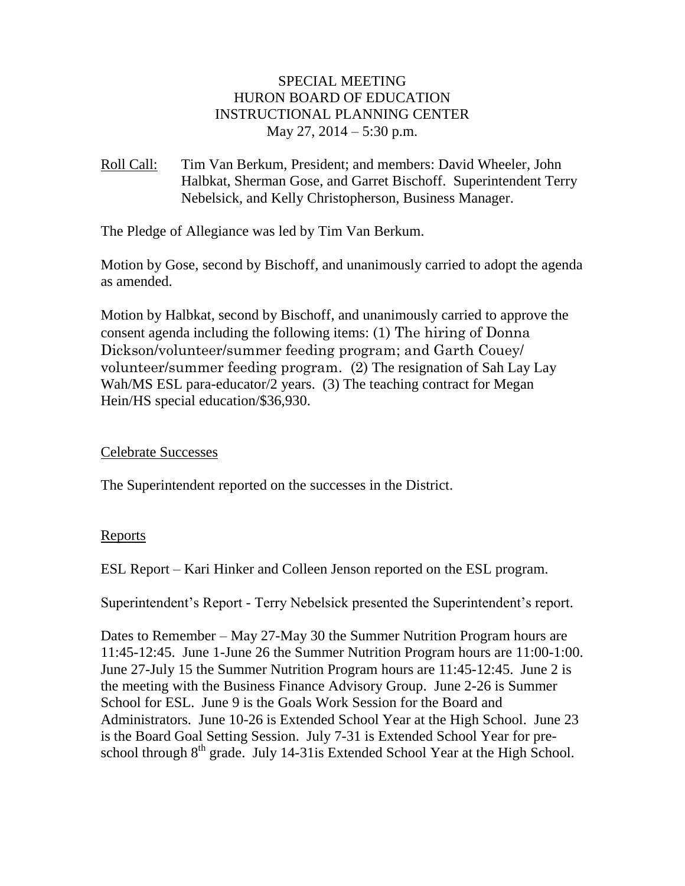## SPECIAL MEETING HURON BOARD OF EDUCATION INSTRUCTIONAL PLANNING CENTER May 27, 2014 – 5:30 p.m.

Roll Call: Tim Van Berkum, President; and members: David Wheeler, John Halbkat, Sherman Gose, and Garret Bischoff. Superintendent Terry Nebelsick, and Kelly Christopherson, Business Manager.

The Pledge of Allegiance was led by Tim Van Berkum.

Motion by Gose, second by Bischoff, and unanimously carried to adopt the agenda as amended.

Motion by Halbkat, second by Bischoff, and unanimously carried to approve the consent agenda including the following items: (1) The hiring of Donna Dickson/volunteer/summer feeding program; and Garth Couey/ volunteer/summer feeding program. (2) The resignation of Sah Lay Lay Wah/MS ESL para-educator/2 years. (3) The teaching contract for Megan Hein/HS special education/\$36,930.

## Celebrate Successes

The Superintendent reported on the successes in the District.

## Reports

ESL Report – Kari Hinker and Colleen Jenson reported on the ESL program.

Superintendent's Report - Terry Nebelsick presented the Superintendent's report.

Dates to Remember – May 27-May 30 the Summer Nutrition Program hours are 11:45-12:45. June 1-June 26 the Summer Nutrition Program hours are 11:00-1:00. June 27-July 15 the Summer Nutrition Program hours are 11:45-12:45. June 2 is the meeting with the Business Finance Advisory Group. June 2-26 is Summer School for ESL. June 9 is the Goals Work Session for the Board and Administrators. June 10-26 is Extended School Year at the High School. June 23 is the Board Goal Setting Session. July 7-31 is Extended School Year for preschool through  $8<sup>th</sup>$  grade. July 14-31is Extended School Year at the High School.